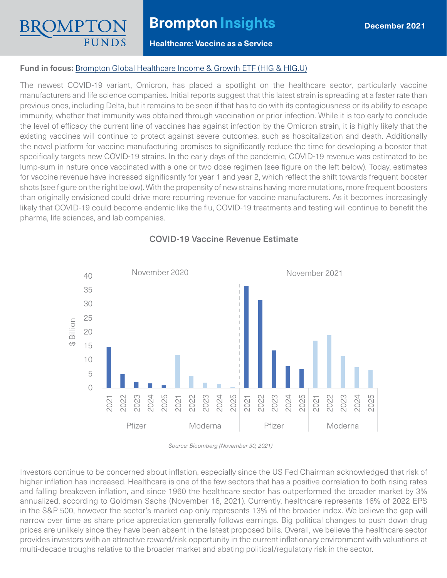# **Brompton Insights**

### **Healthcare: Vaccine as a Service**

### **Fund in focus:** [Brompton Global Healthcare Income & Growth ETF](https://www.bromptongroup.com/product/global-healthcare-income-growth-etf/) (HIG & HIG.U)

The newest COVID-19 variant, Omicron, has placed a spotlight on the healthcare sector, particularly vaccine manufacturers and life science companies. Initial reports suggest that this latest strain is spreading at a faster rate than previous ones, including Delta, but it remains to be seen if that has to do with its contagiousness or its ability to escape immunity, whether that immunity was obtained through vaccination or prior infection. While it is too early to conclude the level of efficacy the current line of vaccines has against infection by the Omicron strain, it is highly likely that the existing vaccines will continue to protect against severe outcomes, such as hospitalization and death. Additionally the novel platform for vaccine manufacturing promises to significantly reduce the time for developing a booster that specifically targets new COVID-19 strains. In the early days of the pandemic, COVID-19 revenue was estimated to be lump-sum in nature once vaccinated with a one or two dose regimen (see figure on the left below). Today, estimates for vaccine revenue have increased significantly for year 1 and year 2, which reflect the shift towards frequent booster shots (see figure on the right below). With the propensity of new strains having more mutations, more frequent boosters than originally envisioned could drive more recurring revenue for vaccine manufacturers. As it becomes increasingly likely that COVID-19 could become endemic like the flu, COVID-19 treatments and testing will continue to benefit the pharma, life sciences, and lab companies.



## COVID-19 Vaccine Revenue Estimate

*Source: Bloomberg (November 30, 2021)*

Investors continue to be concerned about inflation, especially since the US Fed Chairman acknowledged that risk of higher inflation has increased. Healthcare is one of the few sectors that has a positive correlation to both rising rates and falling breakeven inflation, and since 1960 the healthcare sector has outperformed the broader market by 3% annualized, according to Goldman Sachs (November 16, 2021). Currently, healthcare represents 16% of 2022 EPS in the S&P 500, however the sector's market cap only represents 13% of the broader index. We believe the gap will narrow over time as share price appreciation generally follows earnings. Big political changes to push down drug prices are unlikely since they have been absent in the latest proposed bills. Overall, we believe the healthcare sector provides investors with an attractive reward/risk opportunity in the current inflationary environment with valuations at multi-decade troughs relative to the broader market and abating political/regulatory risk in the sector.